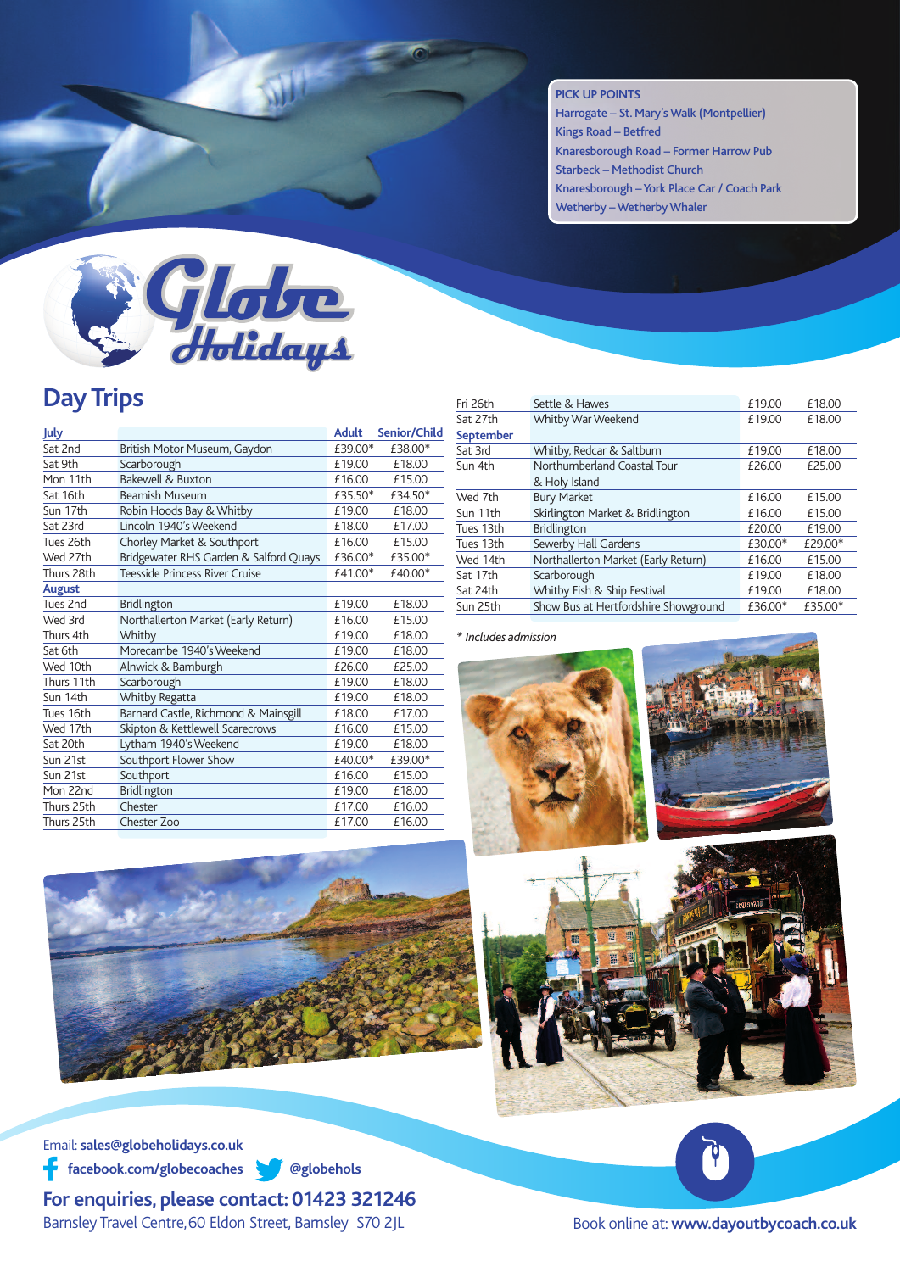## **PICK UP POINTS**

Harrogate – St. Mary's Walk (Montpellier) Kings Road – Betfred Knaresborough Road – Former Harrow Pub Starbeck – Methodist Church Knaresborough –York Place Car / Coach Park Wetherby – Wetherby Whaler



## **Day Trips**

| July          |                                        | <b>Adult</b> | Senior/Child |
|---------------|----------------------------------------|--------------|--------------|
| Sat 2nd       | British Motor Museum, Gaydon           | £39.00*      | £38.00*      |
| Sat 9th       | Scarborough                            | £19.00       | £18.00       |
| Mon 11th      | Bakewell & Buxton                      | £16.00       | £15.00       |
| Sat 16th      | <b>Beamish Museum</b>                  | £35.50*      | £34.50*      |
| Sun 17th      | Robin Hoods Bay & Whitby               | £19.00       | £18.00       |
| Sat 23rd      | Lincoln 1940's Weekend                 | £18.00       | £17.00       |
| Tues 26th     | Chorley Market & Southport             | £16.00       | £15.00       |
| Wed 27th      | Bridgewater RHS Garden & Salford Quays | £36.00*      | £35.00*      |
| Thurs 28th    | Teesside Princess River Cruise         | £41.00*      | £40.00*      |
| <b>August</b> |                                        |              |              |
| Tues 2nd      | Bridlington                            | £19.00       | £18.00       |
| Wed 3rd       | Northallerton Market (Early Return)    | £16.00       | £15.00       |
| Thurs 4th     | Whitby                                 | £19.00       | £18.00       |
| Sat 6th       | Morecambe 1940's Weekend               | £19.00       | £18.00       |
| Wed 10th      | Alnwick & Bamburgh                     | £26.00       | £25.00       |
| Thurs 11th    | Scarborough                            | £19.00       | £18.00       |
| Sun 14th      | Whitby Regatta                         | £19.00       | £18.00       |
| Tues 16th     | Barnard Castle, Richmond & Mainsgill   | £18.00       | £17.00       |
| Wed 17th      | Skipton & Kettlewell Scarecrows        | £16.00       | £15.00       |
| Sat 20th      | Lytham 1940's Weekend                  | £19.00       | £18.00       |
| Sun 21st      | Southport Flower Show                  | £40.00*      | £39.00*      |
| Sun 21st      | Southport                              | £16.00       | £15.00       |
| Mon 22nd      | Bridlington                            | £19.00       | £18.00       |
| Thurs 25th    | Chester                                | £17.00       | £16.00       |
| Thurs 25th    | Chester Zoo                            | £17.00       | £16.00       |
|               |                                        |              |              |

| Fri 26th  | Settle & Hawes                       | £19.00  | £18.00  |
|-----------|--------------------------------------|---------|---------|
| Sat 27th  | Whitby War Weekend                   | £19.00  | £18.00  |
| September |                                      |         |         |
| Sat 3rd   | Whitby, Redcar & Saltburn            | £19.00  | £18.00  |
| Sun 4th   | Northumberland Coastal Tour          | £26.00  | £25.00  |
|           | & Holy Island                        |         |         |
| Wed 7th   | <b>Bury Market</b>                   | £16.00  | £15.00  |
| Sun 11th  | Skirlington Market & Bridlington     | £16.00  | £15.00  |
| Tues 13th | <b>Bridlington</b>                   | £20.00  | £19.00  |
| Tues 13th | Sewerby Hall Gardens                 | £30.00* | £29.00* |
| Wed 14th  | Northallerton Market (Early Return)  | £16.00  | £15.00  |
| Sat 17th  | Scarborough                          | £19.00  | £18.00  |
| Sat 24th  | Whitby Fish & Ship Festival          | £19.00  | £18.00  |
| Sun 25th  | Show Bus at Hertfordshire Showground | £36.00* | £35.00* |

## *\* Includes admission*









Email: **sales@globeholidays.co.uk facebook.com/globecoaches @globehols**

**For enquiries, please contact: 01423 321246** Barnsley Travel Centre,60 Eldon Street, Barnsley S70 2JL

Ŷ